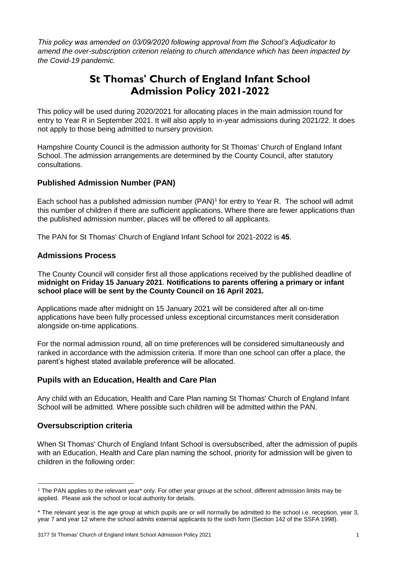*This policy was amended on 03/09/2020 following approval from the School's Adjudicator to amend the over-subscription criterion relating to church attendance which has been impacted by the Covid-19 pandemic.* 

# **St Thomas' Church of England Infant School Admission Policy 2021-2022**

This policy will be used during 2020/2021 for allocating places in the main admission round for entry to Year R in September 2021. It will also apply to in-year admissions during 2021/22. It does not apply to those being admitted to nursery provision.

Hampshire County Council is the admission authority for St Thomas' Church of England Infant School. The admission arrangements are determined by the County Council, after statutory consultations.

# **Published Admission Number (PAN)**

Each school has a published admission number  $(PAN)^1$  for entry to Year R. The school will admit this number of children if there are sufficient applications. Where there are fewer applications than the published admission number, places will be offered to all applicants.

The PAN for St Thomas' Church of England Infant School for 2021-2022 is **45**.

### **Admissions Process**

The County Council will consider first all those applications received by the published deadline of **midnight on Friday 15 January 2021**. **Notifications to parents offering a primary or infant school place will be sent by the County Council on 16 April 2021.** 

Applications made after midnight on 15 January 2021 will be considered after all on-time applications have been fully processed unless exceptional circumstances merit consideration alongside on-time applications.

For the normal admission round, all on time preferences will be considered simultaneously and ranked in accordance with the admission criteria. If more than one school can offer a place, the parent's highest stated available preference will be allocated.

# **Pupils with an Education, Health and Care Plan**

Any child with an Education, Health and Care Plan naming St Thomas' Church of England Infant School will be admitted. Where possible such children will be admitted within the PAN.

# **Oversubscription criteria**

-

When St Thomas' Church of England Infant School is oversubscribed, after the admission of pupils with an Education, Health and Care plan naming the school, priority for admission will be given to children in the following order:

<sup>1</sup> The PAN applies to the relevant year\* only. For other year groups at the school, different admission limits may be applied. Please ask the school or local authority for details.

<sup>\*</sup> The relevant year is the age group at which pupils are or will normally be admitted to the school i.e. reception, year 3, year 7 and year 12 where the school admits external applicants to the sixth form (Section 142 of the SSFA 1998).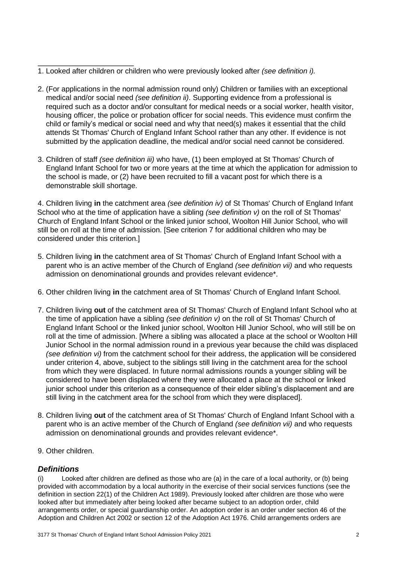- 1. Looked after children or children who were previously looked after *(see definition i).*
- 2. (For applications in the normal admission round only) Children or families with an exceptional medical and/or social need *(see definition ii)*. Supporting evidence from a professional is required such as a doctor and/or consultant for medical needs or a social worker, health visitor, housing officer, the police or probation officer for social needs. This evidence must confirm the child or family's medical or social need and why that need(s) makes it essential that the child attends St Thomas' Church of England Infant School rather than any other. If evidence is not submitted by the application deadline, the medical and/or social need cannot be considered.
- 3. Children of staff *(see definition iii)* who have, (1) been employed at St Thomas' Church of England Infant School for two or more years at the time at which the application for admission to the school is made, or (2) have been recruited to fill a vacant post for which there is a demonstrable skill shortage.

4. Children living **in** the catchment area *(see definition iv)* of St Thomas' Church of England Infant School who at the time of application have a sibling *(see definition v)* on the roll of St Thomas' Church of England Infant School or the linked junior school, Woolton Hill Junior School, who will still be on roll at the time of admission. [See criterion 7 for additional children who may be considered under this criterion.]

- 5. Children living **in** the catchment area of St Thomas' Church of England Infant School with a parent who is an active member of the Church of England *(see definition vii)* and who requests admission on denominational grounds and provides relevant evidence\*.
- 6. Other children living **in** the catchment area of St Thomas' Church of England Infant School*.*
- 7. Children living **out** of the catchment area of St Thomas' Church of England Infant School who at the time of application have a sibling *(see definition v)* on the roll of St Thomas' Church of England Infant School or the linked junior school, Woolton Hill Junior School, who will still be on roll at the time of admission. [Where a sibling was allocated a place at the school or Woolton Hill Junior School in the normal admission round in a previous year because the child was displaced *(see definition vi)* from the catchment school for their address, the application will be considered under criterion 4, above, subject to the siblings still living in the catchment area for the school from which they were displaced. In future normal admissions rounds a younger sibling will be considered to have been displaced where they were allocated a place at the school or linked junior school under this criterion as a consequence of their elder sibling's displacement and are still living in the catchment area for the school from which they were displaced].
- 8. Children living **out** of the catchment area of St Thomas' Church of England Infant School with a parent who is an active member of the Church of England *(see definition vii)* and who requests admission on denominational grounds and provides relevant evidence\*.
- 9. Other children.

# *Definitions*

(i) Looked after children are defined as those who are (a) in the care of a local authority, or (b) being provided with accommodation by a local authority in the exercise of their social services functions (see the definition in section 22(1) of the Children Act 1989). Previously looked after children are those who were looked after but immediately after being looked after became subject to an adoption order, child arrangements order, or special guardianship order. An adoption order is an order under section 46 of the Adoption and Children Act 2002 or section 12 of the Adoption Act 1976. Child arrangements orders are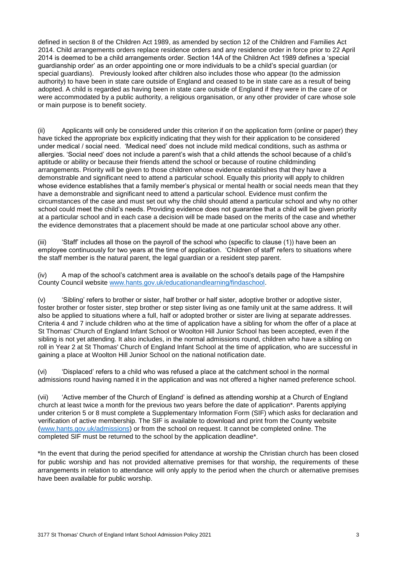defined in section 8 of the Children Act 1989, as amended by section 12 of the Children and Families Act 2014. Child arrangements orders replace residence orders and any residence order in force prior to 22 April 2014 is deemed to be a child arrangements order. Section 14A of the Children Act 1989 defines a 'special guardianship order' as an order appointing one or more individuals to be a child's special guardian (or special guardians). Previously looked after children also includes those who appear (to the admission authority) to have been in state care outside of England and ceased to be in state care as a result of being adopted. A child is regarded as having been in state care outside of England if they were in the care of or were accommodated by a public authority, a religious organisation, or any other provider of care whose sole or main purpose is to benefit society.

(ii) Applicants will only be considered under this criterion if on the application form (online or paper) they have ticked the appropriate box explicitly indicating that they wish for their application to be considered under medical / social need. 'Medical need' does not include mild medical conditions, such as asthma or allergies. 'Social need' does not include a parent's wish that a child attends the school because of a child's aptitude or ability or because their friends attend the school or because of routine childminding arrangements. Priority will be given to those children whose evidence establishes that they have a demonstrable and significant need to attend a particular school. Equally this priority will apply to children whose evidence establishes that a family member's physical or mental health or social needs mean that they have a demonstrable and significant need to attend a particular school. Evidence must confirm the circumstances of the case and must set out why the child should attend a particular school and why no other school could meet the child's needs. Providing evidence does not guarantee that a child will be given priority at a particular school and in each case a decision will be made based on the merits of the case and whether the evidence demonstrates that a placement should be made at one particular school above any other.

(iii) 'Staff' includes all those on the payroll of the school who (specific to clause (1)) have been an employee continuously for two years at the time of application. 'Children of staff' refers to situations where the staff member is the natural parent, the legal guardian or a resident step parent.

(iv) A map of the school's catchment area is available on the school's details page of the Hampshire County Council website [www.hants.gov.uk/educationandlearning/findaschool.](http://www.hants.gov.uk/educationandlearning/findaschool) 

(v) 'Sibling' refers to brother or sister, half brother or half sister, adoptive brother or adoptive sister, foster brother or foster sister, step brother or step sister living as one family unit at the same address. It will also be applied to situations where a full, half or adopted brother or sister are living at separate addresses. Criteria 4 and 7 include children who at the time of application have a sibling for whom the offer of a place at St Thomas' Church of England Infant School or Woolton Hill Junior School has been accepted, even if the sibling is not yet attending. It also includes, in the normal admissions round, children who have a sibling on roll in Year 2 at St Thomas' Church of England Infant School at the time of application, who are successful in gaining a place at Woolton Hill Junior School on the national notification date.

(vi) 'Displaced' refers to a child who was refused a place at the catchment school in the normal admissions round having named it in the application and was not offered a higher named preference school.

(vii) 'Active member of the Church of England' is defined as attending worship at a Church of England church at least twice a month for the previous two years before the date of application\*. Parents applying under criterion 5 or 8 must complete a Supplementary Information Form (SIF) which asks for declaration and verification of active membership. The SIF is available to download and print from the County website [\(www.hants.gov.uk/admissions\)](http://www.hants.gov.uk/admissions) or from the school on request. It cannot be completed online. The completed SIF must be returned to the school by the application deadline\*.

\*In the event that during the period specified for attendance at worship the Christian church has been closed for public worship and has not provided alternative premises for that worship, the requirements of these arrangements in relation to attendance will only apply to the period when the church or alternative premises have been available for public worship.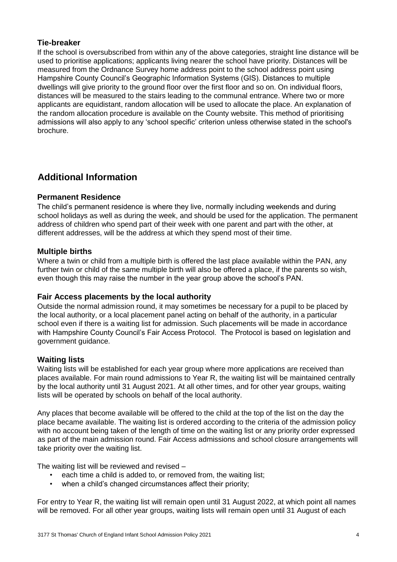# **Tie-breaker**

If the school is oversubscribed from within any of the above categories, straight line distance will be used to prioritise applications; applicants living nearer the school have priority. Distances will be measured from the Ordnance Survey home address point to the school address point using Hampshire County Council's Geographic Information Systems (GIS). Distances to multiple dwellings will give priority to the ground floor over the first floor and so on. On individual floors, distances will be measured to the stairs leading to the communal entrance. Where two or more applicants are equidistant, random allocation will be used to allocate the place. An explanation of the random allocation procedure is available on the County website. This method of prioritising admissions will also apply to any 'school specific' criterion unless otherwise stated in the school's brochure.

# **Additional Information**

# **Permanent Residence**

The child's permanent residence is where they live, normally including weekends and during school holidays as well as during the week, and should be used for the application. The permanent address of children who spend part of their week with one parent and part with the other, at different addresses, will be the address at which they spend most of their time.

# **Multiple births**

Where a twin or child from a multiple birth is offered the last place available within the PAN, any further twin or child of the same multiple birth will also be offered a place, if the parents so wish, even though this may raise the number in the year group above the school's PAN.

# **Fair Access placements by the local authority**

Outside the normal admission round, it may sometimes be necessary for a pupil to be placed by the local authority, or a local placement panel acting on behalf of the authority, in a particular school even if there is a waiting list for admission. Such placements will be made in accordance with Hampshire County Council's Fair Access Protocol. The Protocol is based on legislation and government guidance.

# **Waiting lists**

Waiting lists will be established for each year group where more applications are received than places available. For main round admissions to Year R, the waiting list will be maintained centrally by the local authority until 31 August 2021. At all other times, and for other year groups, waiting lists will be operated by schools on behalf of the local authority.

Any places that become available will be offered to the child at the top of the list on the day the place became available. The waiting list is ordered according to the criteria of the admission policy with no account being taken of the length of time on the waiting list or any priority order expressed as part of the main admission round. Fair Access admissions and school closure arrangements will take priority over the waiting list.

The waiting list will be reviewed and revised –

- each time a child is added to, or removed from, the waiting list:
- when a child's changed circumstances affect their priority;

For entry to Year R, the waiting list will remain open until 31 August 2022, at which point all names will be removed. For all other year groups, waiting lists will remain open until 31 August of each